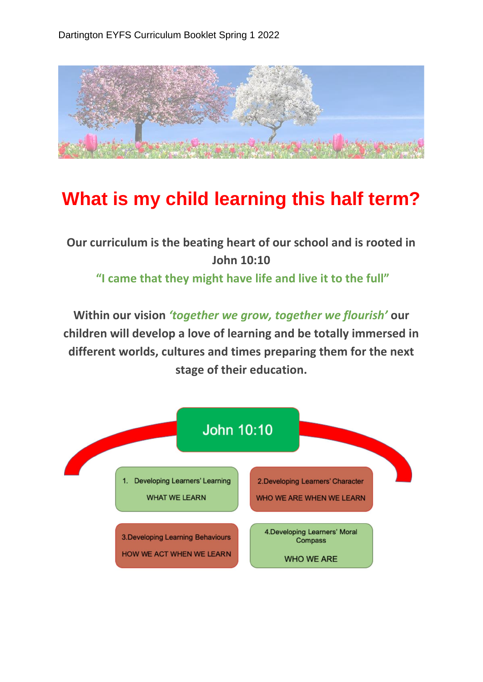

## **What is my child learning this half term?**

## **Our curriculum is the beating heart of our school and is rooted in John 10:10**

**"I came that they might have life and live it to the full"**

**Within our vision** *'together we grow, together we flourish'* **our children will develop a love of learning and be totally immersed in different worlds, cultures and times preparing them for the next stage of their education.**

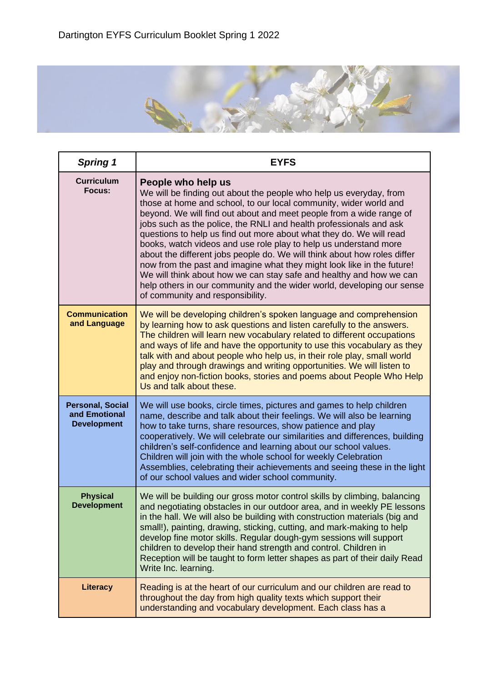

| <b>Spring 1</b>                                                | <b>EYFS</b>                                                                                                                                                                                                                                                                                                                                                                                                                                                                                                                                                                                                                                                                                                                                                                                      |
|----------------------------------------------------------------|--------------------------------------------------------------------------------------------------------------------------------------------------------------------------------------------------------------------------------------------------------------------------------------------------------------------------------------------------------------------------------------------------------------------------------------------------------------------------------------------------------------------------------------------------------------------------------------------------------------------------------------------------------------------------------------------------------------------------------------------------------------------------------------------------|
| <b>Curriculum</b><br>Focus:                                    | People who help us<br>We will be finding out about the people who help us everyday, from<br>those at home and school, to our local community, wider world and<br>beyond. We will find out about and meet people from a wide range of<br>jobs such as the police, the RNLI and health professionals and ask<br>questions to help us find out more about what they do. We will read<br>books, watch videos and use role play to help us understand more<br>about the different jobs people do. We will think about how roles differ<br>now from the past and imagine what they might look like in the future!<br>We will think about how we can stay safe and healthy and how we can<br>help others in our community and the wider world, developing our sense<br>of community and responsibility. |
| <b>Communication</b><br>and Language                           | We will be developing children's spoken language and comprehension<br>by learning how to ask questions and listen carefully to the answers.<br>The children will learn new vocabulary related to different occupations<br>and ways of life and have the opportunity to use this vocabulary as they<br>talk with and about people who help us, in their role play, small world<br>play and through drawings and writing opportunities. We will listen to<br>and enjoy non-fiction books, stories and poems about People Who Help<br>Us and talk about these.                                                                                                                                                                                                                                      |
| <b>Personal, Social</b><br>and Emotional<br><b>Development</b> | We will use books, circle times, pictures and games to help children<br>name, describe and talk about their feelings. We will also be learning<br>how to take turns, share resources, show patience and play<br>cooperatively. We will celebrate our similarities and differences, building<br>children's self-confidence and learning about our school values.<br>Children will join with the whole school for weekly Celebration<br>Assemblies, celebrating their achievements and seeing these in the light<br>of our school values and wider school community.                                                                                                                                                                                                                               |
| <b>Physical</b><br><b>Development</b>                          | We will be building our gross motor control skills by climbing, balancing<br>and negotiating obstacles in our outdoor area, and in weekly PE lessons<br>in the hall. We will also be building with construction materials (big and<br>small!), painting, drawing, sticking, cutting, and mark-making to help<br>develop fine motor skills. Regular dough-gym sessions will support<br>children to develop their hand strength and control. Children in<br>Reception will be taught to form letter shapes as part of their daily Read<br>Write Inc. learning.                                                                                                                                                                                                                                     |
| Literacy                                                       | Reading is at the heart of our curriculum and our children are read to<br>throughout the day from high quality texts which support their<br>understanding and vocabulary development. Each class has a                                                                                                                                                                                                                                                                                                                                                                                                                                                                                                                                                                                           |